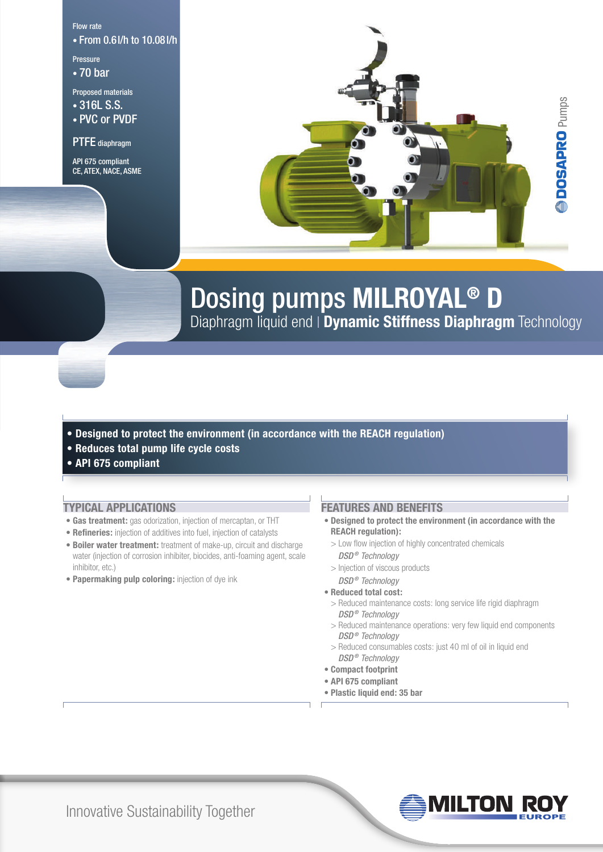Flow rate • From 0.6l/h to 10.08l/h

Pressure • 70 bar

Proposed materials

• 316L S.S. • PVC or PVDF

PTFE diaphragm

API 675 compliant CE, ATEX, NACE, ASME



# Dosing pumps **MILROYAL® D**

Diaphragm liquid end **Dynamic Stiffness Diaphragm** Technology

- **Designed to protect the environment (in accordance with the REACH regulation)**
- **Reduces total pump life cycle costs**
- **API 675 compliant**

# **Typical applications**

- **Gas treatment:** gas odorization, injection of mercaptan, or THT
- **Refineries:** injection of additives into fuel, injection of catalysts
- **Boiler water treatment:** treatment of make-up, circuit and discharge water (injection of corrosion inhibiter, biocides, anti-foaming agent, scale inhibitor, etc.)
- **Papermaking pulp coloring:** injection of dye ink

# **Features and benefits**

- **Designed to protect the environment (in accordance with the REACH regulation):**
	- > Low flow injection of highly concentrated chemicals *DSD ® Technology*
	- > Injection of viscous products
- *DSD ® Technology*
- **Reduced total cost:**
- > Reduced maintenance costs: long service life rigid diaphragm *DSD ® Technology*
- > Reduced maintenance operations: very few liquid end components *DSD ® Technology*
- > Reduced consumables costs: just 40 ml of oil in liquid end *DSD ® Technology*
- **Compact footprint**
- **API 675 compliant**
- **Plastic liquid end: 35 bar**

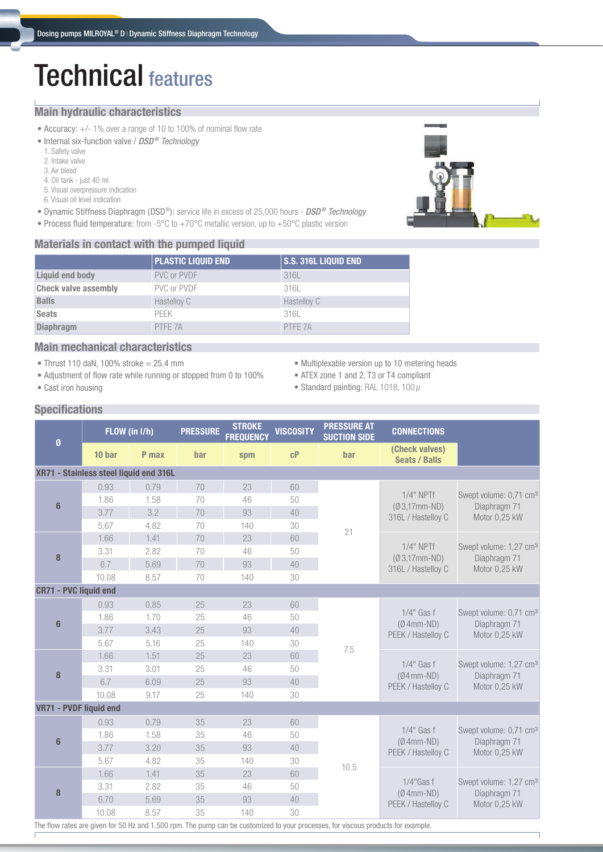# Technical features

### **Main hydraulic characteristics**

- Accuracy: +/- 1% over a range of 10 to 100% of nominal flow rate
- Internal six-function valve / *DSD ® Technology*
	- 1. Safety valve
	- 2. Intake valve 3. Air bleed
	- 4. Oil tank just 40 ml
	- 5. Visual overpressure indication
	- 6. Visual oil level indication
- Dynamic Stiffness Diaphragm (DSD®): service life in excess of 25,000 hours *DSD ® Technology*
- Process fluid temperature: from -5°C to +70°C metallic version, up to +50°C plastic version

### **Materials in contact with the pumped liquid**



|                             | PLASTIC LIQUID END | <b>S.S. 316L LIQUID END</b> |  |  |  |  |  |  |
|-----------------------------|--------------------|-----------------------------|--|--|--|--|--|--|
| Liquid end body             | PVC or PVDF        | 316L                        |  |  |  |  |  |  |
| <b>Check valve assembly</b> | PVC or PVDF        | 316L                        |  |  |  |  |  |  |
| <b>Balls</b>                | Hastelloy C        | Hastelloy C                 |  |  |  |  |  |  |
| <b>Seats</b>                | <b>PFFK</b>        | 316L                        |  |  |  |  |  |  |
| <b>Diaphragm</b>            | PTFE 7A            | PTFF 7A                     |  |  |  |  |  |  |

# **Main mechanical characteristics**

- Thrust 110 daN, 100% stroke = 25.4 mm
- Adjustment of flow rate while running or stopped from 0 to 100%
- Multiplexable version up to 10 metering heads
- ATEX zone 1 and 2, T3 or T4 compliant
- Standard painting: RAL 1018, 100  $\mu$

# **Specifications**

**•** Cast iron housing

|                                                                                                                                   | FLOW (in I/h) |       | <b>PRESSURE</b> | <b>STROKE</b><br><b>FREQUENCY</b> | <b>VISCOSITY</b> | <b>PRESSURE AT</b><br><b>CONNECTIONS</b><br><b>SUCTION SIDE</b> |                                                      |                                                                     |  |  |
|-----------------------------------------------------------------------------------------------------------------------------------|---------------|-------|-----------------|-----------------------------------|------------------|-----------------------------------------------------------------|------------------------------------------------------|---------------------------------------------------------------------|--|--|
| Ø                                                                                                                                 | 10 bar        | P max | bar             | spm                               | cP               | bar                                                             | (Check valves)<br><b>Seats / Balls</b>               |                                                                     |  |  |
| XR71 - Stainless steel liquid end 316L                                                                                            |               |       |                 |                                   |                  |                                                                 |                                                      |                                                                     |  |  |
| $6\phantom{1}$                                                                                                                    | 0.93          | 0.79  | 70              | 23                                | 60               |                                                                 | $1/4"$ NPTf<br>$(Ø3,17mm-ND)$<br>316L / Hastelloy C  | Swept volume: 0,71 cm <sup>3</sup><br>Diaphragm 71<br>Motor 0,25 kW |  |  |
|                                                                                                                                   | 1.86          | 1.58  | 70              | 46                                | 50               |                                                                 |                                                      |                                                                     |  |  |
|                                                                                                                                   | 3.77          | 3.2   | 70              | 93                                | 40               |                                                                 |                                                      |                                                                     |  |  |
|                                                                                                                                   | 5.67          | 4.82  | 70              | 140                               | 30               | 21                                                              |                                                      |                                                                     |  |  |
|                                                                                                                                   | 1.66          | 1.41  | 70              | 23                                | 60               |                                                                 | $1/4"$ NPTf<br>$(03,17$ mm-ND)<br>316L / Hastelloy C | Swept volume: 1,27 cm <sup>3</sup><br>Diaphragm 71<br>Motor 0.25 kW |  |  |
| 8                                                                                                                                 | 3.31          | 2.82  | 70              | 46                                | 50               |                                                                 |                                                      |                                                                     |  |  |
|                                                                                                                                   | 6.7           | 5.69  | 70              | 93                                | 40               |                                                                 |                                                      |                                                                     |  |  |
|                                                                                                                                   | 10.08         | 8.57  | 70              | 140                               | 30               |                                                                 |                                                      |                                                                     |  |  |
| <b>CR71 - PVC liquid end</b>                                                                                                      |               |       |                 |                                   |                  |                                                                 |                                                      |                                                                     |  |  |
| $6\phantom{1}$                                                                                                                    | 0.93          | 0.85  | 25              | 23                                | 60               |                                                                 | $1/4$ " Gas f<br>$(Ø 4mm-ND)$<br>PEEK / Hastelloy C  | Swept volume: 0,71 cm <sup>3</sup><br>Diaphragm 71<br>Motor 0,25 kW |  |  |
|                                                                                                                                   | 1.86          | 1.70  | 25              | 46                                | 50               |                                                                 |                                                      |                                                                     |  |  |
|                                                                                                                                   | 3.77          | 3.43  | 25              | 93                                | 40               |                                                                 |                                                      |                                                                     |  |  |
|                                                                                                                                   | 5.67          | 5.16  | 25              | 140                               | 30               | 7.5                                                             |                                                      |                                                                     |  |  |
|                                                                                                                                   | 1.66          | 1.51  | 25              | 23                                | 60               |                                                                 | $1/4$ " Gas f<br>$(Ø4mm-ND)$                         | Swept volume: 1,27 cm <sup>3</sup><br>Diaphragm 71<br>Motor 0,25 kW |  |  |
| 8                                                                                                                                 | 3.31          | 3.01  | 25              | 46                                | 50               |                                                                 |                                                      |                                                                     |  |  |
|                                                                                                                                   | 6.7           | 6.09  | 25              | 93                                | 40               |                                                                 | PEEK / Hastelloy C                                   |                                                                     |  |  |
|                                                                                                                                   | 10.08         | 9.17  | 25              | 140                               | 30               |                                                                 |                                                      |                                                                     |  |  |
| VR71 - PVDF liquid end                                                                                                            |               |       |                 |                                   |                  |                                                                 |                                                      |                                                                     |  |  |
|                                                                                                                                   | 0.93          | 0.79  | 35              | 23                                | 60               |                                                                 |                                                      | Swept volume: 0,71 cm <sup>3</sup><br>Diaphragm 71<br>Motor 0,25 kW |  |  |
|                                                                                                                                   | 1.86          | 1.58  | 35              | 46                                | 50               |                                                                 | $1/4$ " Gas f                                        |                                                                     |  |  |
| $6\phantom{1}$                                                                                                                    | 3.77          | 3.20  | 35              | 93                                | 40               |                                                                 | $(Ø 4mm-ND)$<br>PEEK / Hastelloy C                   |                                                                     |  |  |
|                                                                                                                                   | 5.67          | 4.82  | 35              | 140                               | 30               |                                                                 |                                                      |                                                                     |  |  |
| 8                                                                                                                                 | 1.66          | 1.41  | 35              | 23                                | 60               | 10.5                                                            |                                                      | Swept volume: 1,27 cm <sup>3</sup><br>Diaphragm 71<br>Motor 0,25 kW |  |  |
|                                                                                                                                   | 3.31          | 2.82  | 35              | 46                                | 50               |                                                                 | $1/4$ "Gas f                                         |                                                                     |  |  |
|                                                                                                                                   | 6.70          | 5.69  | 35              | 93                                | 40               |                                                                 | $(Ø 4mm-ND)$<br>PEEK / Hastelloy C                   |                                                                     |  |  |
|                                                                                                                                   | 10.08         | 8.57  | 35              | 140                               | 30               |                                                                 |                                                      |                                                                     |  |  |
| The flow rates are given for 50 Hz and 1.500 rpm. The pump can be customized to your processes, for viscous products for example. |               |       |                 |                                   |                  |                                                                 |                                                      |                                                                     |  |  |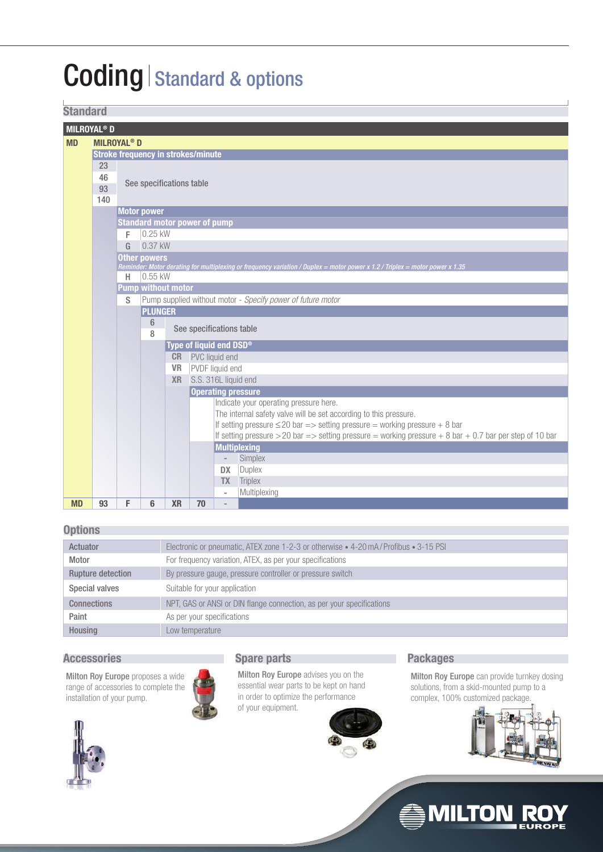# Coding | Standard & options

# **Standard**

| u wunde                       |                                           |                                     |                     |                           |                                                                                                          |                |                                                                                                                              |  |  |  |
|-------------------------------|-------------------------------------------|-------------------------------------|---------------------|---------------------------|----------------------------------------------------------------------------------------------------------|----------------|------------------------------------------------------------------------------------------------------------------------------|--|--|--|
| <b>MILROYAL<sup>®</sup> D</b> |                                           |                                     |                     |                           |                                                                                                          |                |                                                                                                                              |  |  |  |
| <b>MD</b>                     |                                           | <b>MILROYAL<sup>®</sup> D</b>       |                     |                           |                                                                                                          |                |                                                                                                                              |  |  |  |
|                               | <b>Stroke frequency in strokes/minute</b> |                                     |                     |                           |                                                                                                          |                |                                                                                                                              |  |  |  |
|                               | 23                                        |                                     |                     |                           |                                                                                                          |                |                                                                                                                              |  |  |  |
|                               | 46                                        |                                     |                     |                           |                                                                                                          |                |                                                                                                                              |  |  |  |
|                               | 93                                        | See specifications table            |                     |                           |                                                                                                          |                |                                                                                                                              |  |  |  |
|                               | 140                                       |                                     |                     |                           |                                                                                                          |                |                                                                                                                              |  |  |  |
|                               |                                           | <b>Motor power</b>                  |                     |                           |                                                                                                          |                |                                                                                                                              |  |  |  |
|                               |                                           |                                     |                     |                           | <b>Standard motor power of pump</b>                                                                      |                |                                                                                                                              |  |  |  |
|                               |                                           | F                                   | $0.25$ kW           |                           |                                                                                                          |                |                                                                                                                              |  |  |  |
|                               |                                           | G                                   | 0.37 kW             |                           |                                                                                                          |                |                                                                                                                              |  |  |  |
|                               |                                           |                                     | <b>Other powers</b> |                           |                                                                                                          |                |                                                                                                                              |  |  |  |
|                               |                                           |                                     |                     |                           |                                                                                                          |                | Reminder: Motor derating for multiplexing or frequency variation / Duplex = motor power x 1.2 / Triplex = motor power x 1.35 |  |  |  |
|                               |                                           | Н                                   | 0.55 kW             |                           |                                                                                                          |                |                                                                                                                              |  |  |  |
|                               |                                           |                                     |                     | <b>Pump without motor</b> |                                                                                                          |                |                                                                                                                              |  |  |  |
|                               |                                           | S                                   |                     |                           |                                                                                                          |                | Pump supplied without motor - Specify power of future motor                                                                  |  |  |  |
|                               |                                           |                                     | <b>PLUNGER</b>      |                           |                                                                                                          |                |                                                                                                                              |  |  |  |
|                               |                                           | 6                                   |                     |                           |                                                                                                          |                |                                                                                                                              |  |  |  |
|                               |                                           | See specifications table<br>8       |                     |                           |                                                                                                          |                |                                                                                                                              |  |  |  |
|                               |                                           | Type of liquid end DSD <sup>®</sup> |                     |                           |                                                                                                          |                |                                                                                                                              |  |  |  |
|                               |                                           |                                     |                     |                           | <b>CR</b> PVC liquid end                                                                                 |                |                                                                                                                              |  |  |  |
|                               |                                           | PVDF liquid end<br><b>VR</b>        |                     |                           |                                                                                                          |                |                                                                                                                              |  |  |  |
|                               |                                           | S.S. 316L liquid end<br><b>XR</b>   |                     |                           |                                                                                                          |                |                                                                                                                              |  |  |  |
|                               |                                           | <b>Operating pressure</b>           |                     |                           |                                                                                                          |                |                                                                                                                              |  |  |  |
|                               |                                           |                                     |                     |                           |                                                                                                          |                | Indicate your operating pressure here.                                                                                       |  |  |  |
|                               |                                           |                                     |                     |                           |                                                                                                          |                | The internal safety valve will be set according to this pressure.                                                            |  |  |  |
|                               |                                           |                                     |                     |                           |                                                                                                          |                | If setting pressure $\leq$ 20 bar => setting pressure = working pressure + 8 bar                                             |  |  |  |
|                               |                                           |                                     |                     |                           | If setting pressure > 20 bar => setting pressure = working pressure + 8 bar + 0.7 bar per step of 10 bar |                |                                                                                                                              |  |  |  |
|                               |                                           |                                     |                     | <b>Multiplexing</b>       |                                                                                                          |                |                                                                                                                              |  |  |  |
|                               |                                           |                                     | Simplex<br>÷,       |                           |                                                                                                          |                |                                                                                                                              |  |  |  |
|                               |                                           |                                     |                     |                           |                                                                                                          | <b>DX</b>      | Duplex                                                                                                                       |  |  |  |
|                               |                                           |                                     |                     |                           |                                                                                                          | <b>TX</b>      | Triplex                                                                                                                      |  |  |  |
|                               |                                           |                                     |                     |                           |                                                                                                          | L,             | Multiplexing                                                                                                                 |  |  |  |
| <b>MD</b>                     | 93                                        | F                                   | 6                   | <b>XR</b>                 | 70                                                                                                       | $\overline{a}$ |                                                                                                                              |  |  |  |

# **Options**

| $-1$ and $-1$            |                                                                                     |
|--------------------------|-------------------------------------------------------------------------------------|
| Actuator                 | Electronic or pneumatic, ATEX zone 1-2-3 or otherwise • 4-20 mA/Profibus • 3-15 PSI |
| Motor                    | For frequency variation, ATEX, as per your specifications                           |
| <b>Rupture detection</b> | By pressure gauge, pressure controller or pressure switch                           |
| Special valves           | Suitable for your application                                                       |
| <b>Connections</b>       | NPT, GAS or ANSI or DIN flange connection, as per your specifications               |
| Paint                    | As per your specifications                                                          |
| Housing                  | Low temperature                                                                     |

### **Accessories Spare parts**

Milton Roy Europe proposes a wide range of accessories to complete the installation of your pump.





Milton Roy Europe advises you on the essential wear parts to be kept on hand in order to optimize the performance of your equipment.



# **Packages**

Milton Roy Europe can provide turnkey dosing solutions, from a skid-mounted pump to a complex, 100% customized package.